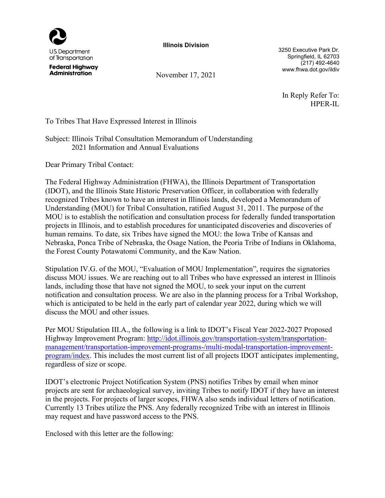

Illinois Division

3250 Executive Park Dr. Springfield, IL 62703 (217) 492-4640 www.fhwa.dot.gov/ildiv

In Reply Refer To: HPER-IL

**Federal Highway Administration** 

November 17, 2021

To Tribes That Have Expressed Interest in Illinois

## Subject: Illinois Tribal Consultation Memorandum of Understanding 2021 Information and Annual Evaluations

Dear Primary Tribal Contact:

The Federal Highway Administration (FHWA), the Illinois Department of Transportation (IDOT), and the Illinois State Historic Preservation Officer, in collaboration with federally recognized Tribes known to have an interest in Illinois lands, developed a Memorandum of Understanding (MOU) for Tribal Consultation, ratified August 31, 2011. The purpose of the MOU is to establish the notification and consultation process for federally funded transportation projects in Illinois, and to establish procedures for unanticipated discoveries and discoveries of human remains. To date, six Tribes have signed the MOU: the Iowa Tribe of Kansas and Nebraska, Ponca Tribe of Nebraska, the Osage Nation, the Peoria Tribe of Indians in Oklahoma, the Forest County Potawatomi Community, and the Kaw Nation.

Stipulation IV.G. of the MOU, "Evaluation of MOU Implementation", requires the signatories discuss MOU issues. We are reaching out to all Tribes who have expressed an interest in Illinois lands, including those that have not signed the MOU, to seek your input on the current notification and consultation process. We are also in the planning process for a Tribal Workshop, which is anticipated to be held in the early part of calendar year 2022, during which we will discuss the MOU and other issues.

Per MOU Stipulation III.A., the following is a link to IDOT's Fiscal Year 2022-2027 Proposed Highway Improvement Program: http://idot.illinois.gov/transportation-system/transportationmanagement/transportation-improvement-programs-/multi-modal-transportation-improvementprogram/index. This includes the most current list of all projects IDOT anticipates implementing, regardless of size or scope.

IDOT's electronic Project Notification System (PNS) notifies Tribes by email when minor projects are sent for archaeological survey, inviting Tribes to notify IDOT if they have an interest in the projects. For projects of larger scopes, FHWA also sends individual letters of notification. Currently 13 Tribes utilize the PNS. Any federally recognized Tribe with an interest in Illinois may request and have password access to the PNS.

Enclosed with this letter are the following: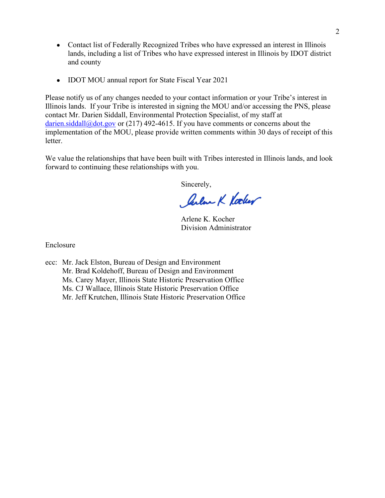- Contact list of Federally Recognized Tribes who have expressed an interest in Illinois lands, including a list of Tribes who have expressed interest in Illinois by IDOT district and county
- IDOT MOU annual report for State Fiscal Year 2021  $\bullet$

Please notify us of any changes needed to your contact information or your Tribe's interest in Illinois lands. If your Tribe is interested in signing the MOU and/or accessing the PNS, please contact Mr. Darien Siddall, Environmental Protection Specialist, of my staff at darien.siddall@dot.gov or (217) 492-4615. If you have comments or concerns about the implementation of the MOU, please provide written comments within 30 days of receipt of this letter.

We value the relationships that have been built with Tribes interested in Illinois lands, and look forward to continuing these relationships with you.

Sincerely,

Jular K Vocker

Arlene K. Kocher Division Administrator

Enclosure

ecc: Mr. Jack Elston, Bureau of Design and Environment Mr. Brad Koldehoff, Bureau of Design and Environment Ms. Carey Mayer, Illinois State Historic Preservation Office Ms. CJ Wallace, Illinois State Historic Preservation Office Mr. Jeff Krutchen, Illinois State Historic Preservation Office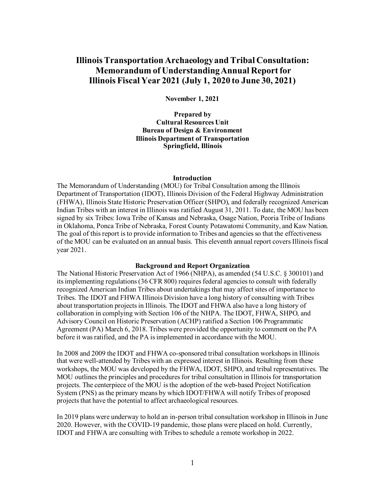# **Illinois Transportation Archaeology and Tribal Consultation: Memorandum of UnderstandingAnnual Reportfor Illinois Fiscal Year 2021 (July 1, 2020 to June 30, 2021)**

**November 1, 2021**

**Prepared by Cultural Resources Unit Bureau of Design & Environment Illinois Department of Transportation Springfield, Illinois**

#### **Introduction**

The Memorandum of Understanding (MOU) for Tribal Consultation among the Illinois Department of Transportation (IDOT), Illinois Division of the Federal Highway Administration (FHWA), Illinois State Historic Preservation Officer (SHPO), and federally recognized American Indian Tribes with an interest in Illinois was ratified August 31, 2011. To date, the MOU has been signed by six Tribes: Iowa Tribe of Kansas and Nebraska, Osage Nation, Peoria Tribe of Indians in Oklahoma, Ponca Tribe of Nebraska, Forest County Potawatomi Community, and Kaw Nation. The goal of this report is to provide information to Tribes and agenciesso that the effectiveness of the MOU can be evaluated on an annual basis. This eleventh annual report covers Illinois fiscal year 2021.

## **Background and Report Organization**

The National Historic Preservation Act of 1966 (NHPA), as amended (54 U.S.C. § 300101) and its implementing regulations (36 CFR 800) requires federal agencies to consult with federally recognized American Indian Tribes about undertakings that may affect sites of importance to Tribes. The IDOT and FHWA Illinois Division have a long history of consulting with Tribes about transportation projects in Illinois. The IDOT and FHWA also have a long history of collaboration in complying with Section 106 of the NHPA. The IDOT, FHWA, SHPO, and Advisory Council on Historic Preservation (ACHP) ratified a Section 106 Programmatic Agreement (PA) March 6, 2018. Tribes were provided the opportunity to comment on the PA before it was ratified, and the PA is implemented in accordance with the MOU.

In 2008 and 2009 the IDOT and FHWA co-sponsored tribal consultation workshopsin Illinois that were well-attended by Tribes with an expressed interest in Illinois. Resulting from these workshops, the MOU was developed by the FHWA, IDOT, SHPO, and tribal representatives. The MOU outlines the principles and procedures for tribal consultation in Illinois for transportation projects. The centerpiece of the MOU isthe adoption of the web-based Project Notification System (PNS) as the primary means by which IDOT/FHWA will notify Tribes of proposed projects that have the potential to affect archaeological resources.

In 2019 plans were underway to hold an in-person tribal consultation workshop in Illinoisin June 2020. However, with the COVID-19 pandemic, those plans were placed on hold. Currently, IDOT and FHWA are consulting with Tribes to schedule a remote workshop in 2022.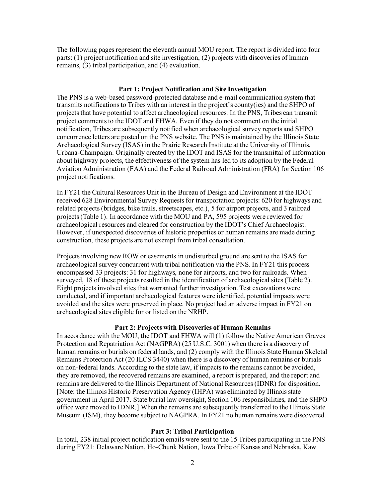The following pages represent the eleventh annual MOU report. The report is divided into four parts: (1) project notification and site investigation, (2) projects with discoveries of human remains, (3) tribal participation, and (4) evaluation.

#### **Part 1: Project Notification and Site Investigation**

The PNS is a web-based password-protected database and e-mail communication system that transmits notifications to Tribes with an interest in the project's county(ies) and the SHPO of projects that have potential to affect archaeological resources. In the PNS, Tribes can transmit project comments to the IDOT and FHWA. Even if they do not comment on the initial notification, Tribes are subsequently notified when archaeological survey reports and SHPO concurrence letters are posted on the PNS website. The PNS is maintained by the Illinois State Archaeological Survey (ISAS) in the Prairie Research Institute at the University of Illinois, Urbana-Champaign. Originally created by the IDOT and ISAS for the transmittal of information about highway projects, the effectiveness of the system has led to its adoption by the Federal Aviation Administration (FAA) and the Federal Railroad Administration (FRA) for Section 106 project notifications.

In FY21 the Cultural Resources Unit in the Bureau of Design and Environment at the IDOT received 628 Environmental Survey Requestsfor transportation projects: 620 for highways and related projects (bridges, bike trails, streetscapes, etc.), 5 for airport projects, and 3 railroad projects(Table 1). In accordance with the MOU and PA, 595 projects were reviewed for archaeological resources and cleared for construction by the IDOT's Chief Archaeologist. However, if unexpected discoveries of historic properties or human remains are made during construction, these projects are not exempt from tribal consultation.

Projects involving new ROW or easements in undisturbed ground are sent to the ISAS for archaeological survey concurrent with tribal notification via the PNS. In FY21 this process encompassed 33 projects: 31 for highways, none for airports, and two for railroads. When surveyed, 18 of these projects resulted in the identification of archaeological sites (Table 2). Eight projectsinvolved sites that warranted further investigation. Test excavations were conducted, and if important archaeological features were identified, potential impacts were avoided and the sites were preserved in place. No project had an adverse impact in FY21 on archaeological sites eligible for or listed on the NRHP.

#### **Part 2: Projects with Discoveries of Human Remains**

In accordance with the MOU, the IDOT and FHWA will (1) follow the Native American Graves Protection and Repatriation Act (NAGPRA) (25 U.S.C. 3001) when there is a discovery of human remains or burials on federal lands, and (2) comply with the Illinois State Human Skeletal Remains Protection Act (20 ILCS 3440) when there is a discovery of human remains or burials on non-federal lands. According to the state law, if impacts to the remains cannot be avoided, they are removed, the recovered remains are examined, a report is prepared, and the report and remains are delivered to the Illinois Department of National Resources (IDNR) for disposition. [Note: the Illinois Historic Preservation Agency (IHPA) was eliminated by Illinois state government in April 2017. State burial law oversight, Section 106 responsibilities, and the SHPO office were moved to IDNR.] When the remains are subsequently transferred to the Illinois State Museum (ISM), they become subject to NAGPRA. In FY21 no human remains were discovered.

## **Part 3: Tribal Participation**

In total, 238 initial project notification emails were sent to the 15 Tribes participating in the PNS during FY21: Delaware Nation, Ho-Chunk Nation, Iowa Tribe of Kansas and Nebraska, Kaw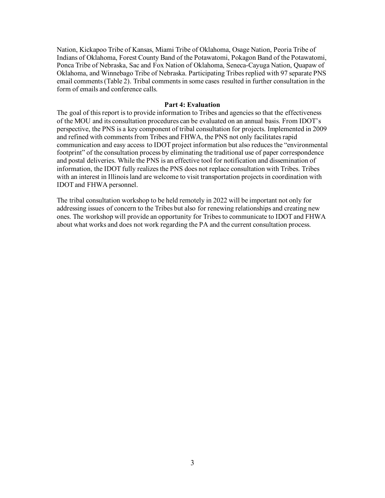Nation, Kickapoo Tribe of Kansas, Miami Tribe of Oklahoma, Osage Nation, Peoria Tribe of Indians of Oklahoma, Forest County Band of the Potawatomi, Pokagon Band of the Potawatomi, Ponca Tribe of Nebraska, Sac and Fox Nation of Oklahoma, Seneca-Cayuga Nation, Quapaw of Oklahoma, and Winnebago Tribe of Nebraska. Participating Tribes replied with 97 separate PNS email comments (Table 2). Tribal comments in some cases resulted in further consultation in the form of emails and conference calls.

### **Part 4: Evaluation**

The goal of this report is to provide information to Tribes and agenciesso that the effectiveness of the MOU and its consultation procedures can be evaluated on an annual basis. From IDOT's perspective, the PNS is a key component of tribal consultation for projects. Implemented in 2009 and refined with comments from Tribes and FHWA, the PNS not only facilitates rapid communication and easy access to IDOT project information but also reduces the "environmental footprint" of the consultation process by eliminating the traditional use of paper correspondence and postal deliveries. While the PNS is an effective tool for notification and dissemination of information, the IDOT fully realizes the PNS does not replace consultation with Tribes. Tribes with an interest in Illinois land are welcome to visit transportation projects in coordination with IDOT and FHWA personnel.

The tribal consultation workshop to be held remotely in 2022 will be important not only for addressing issues of concern to the Tribes but also for renewing relationships and creating new ones. The workshop will provide an opportunity for Tribes to communicate to IDOT and FHWA about what works and does not work regarding the PA and the current consultation process.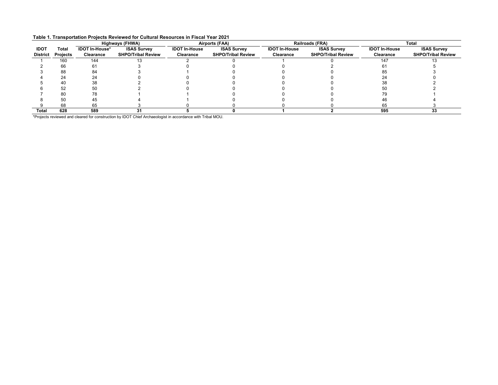|  |  | Table 1. Transportation Projects Reviewed for Cultural Resources in Fiscal Year 2021 |
|--|--|--------------------------------------------------------------------------------------|
|--|--|--------------------------------------------------------------------------------------|

|                 |                 | <b>Highways (FHWA)</b> |                           | Airports (FAA)       |                           | Railroads (FRA)      |                           | <b>Total</b>         |                           |
|-----------------|-----------------|------------------------|---------------------------|----------------------|---------------------------|----------------------|---------------------------|----------------------|---------------------------|
| <b>IDO1</b>     | Total           | <b>IDOT In-House*</b>  | <b>ISAS Survey</b>        | <b>IDOT In-House</b> | <b>ISAS Survey</b>        | <b>IDOT In-House</b> | <b>ISAS Survey</b>        | <b>IDOT In-House</b> | <b>ISAS Survey</b>        |
| <b>District</b> | <b>Projects</b> | Clearance              | <b>SHPO/Tribal Review</b> | Clearance            | <b>SHPO/Tribal Review</b> | Clearance            | <b>SHPO/Tribal Review</b> | Clearance            | <b>SHPO/Tribal Review</b> |
|                 | 160             | 144                    |                           |                      |                           |                      |                           | 147                  |                           |
|                 | 66              | 61                     |                           |                      |                           |                      |                           |                      |                           |
|                 | 88              | 84                     |                           |                      |                           |                      |                           | 85                   |                           |
|                 | 24              |                        |                           |                      |                           |                      |                           |                      |                           |
|                 | 40              | 38                     |                           |                      |                           |                      |                           | 38                   |                           |
|                 | 52              | 50                     |                           |                      |                           |                      |                           | 50                   |                           |
|                 | 80              | 78                     |                           |                      |                           |                      |                           | 79                   |                           |
|                 | 50              | 45                     |                           |                      |                           |                      |                           | 46                   |                           |
|                 | 68              | 65                     |                           |                      |                           |                      |                           | 65                   |                           |
| Total           | 628             | 589                    | 31                        |                      |                           |                      |                           | 595                  | 33                        |

\*Projects reviewed and cleared for construction by IDOT Chief Archaeologist in accordance with Tribal MOU.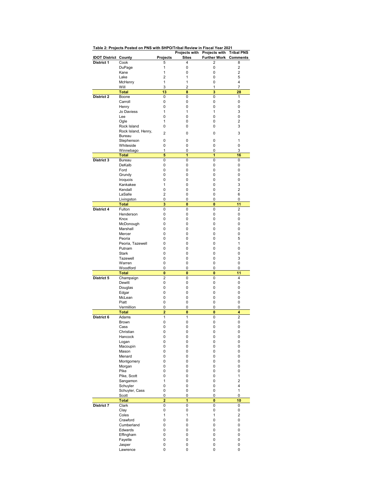|                             | <b>PORCH ALL LAC</b>     |                              |          | Projects with Projects with  | <b>Tribal PNS</b>       |
|-----------------------------|--------------------------|------------------------------|----------|------------------------------|-------------------------|
| <b>IDOT District County</b> |                          | <b>Projects</b>              | Sites    | <b>Further Work Comments</b> |                         |
| <b>District 1</b>           | Cook                     | 5                            | 4        | $\overline{2}$               | 8                       |
|                             | DuPage                   | 1                            | 0        | 0                            | $\overline{\mathbf{c}}$ |
|                             | Kane<br>Lake             | 1<br>$\overline{2}$          | 0<br>1   | 0<br>0                       | $\overline{2}$<br>5     |
|                             | McHenry                  | 1                            | 1        | 0                            | 4                       |
|                             | Will                     | 3                            | 2        | 1                            | 7                       |
|                             | Total                    | 13                           | 8        | 3                            | 28                      |
| <b>District 2</b>           | Boone                    | 0                            | 0        | 0                            | 1                       |
|                             | Carroll                  | 0                            | 0        | 0                            | 0                       |
|                             | Henry<br>Jo Daviess      | 0<br>1                       | 0<br>1   | 0<br>1                       | 0<br>3                  |
|                             | Lee                      | 0                            | 0        | 0                            | 0                       |
|                             | Ogle                     | 1                            | 0        | 0                            | $\overline{2}$          |
|                             | Rock Island              | 0                            | 0        | 0                            | 3                       |
|                             | Rock Island, Henry,      | $\overline{2}$               | 0        | 0                            | 3                       |
|                             | Bureau                   |                              |          |                              |                         |
|                             | Stephenson<br>Whiteside  | 0<br>0                       | 0<br>0   | 0<br>0                       | 1<br>0                  |
|                             | Winnebago                | 1                            | 0        | 0                            | 3                       |
|                             | Total                    | 5                            | 1        | 1                            | 16                      |
| District 3                  | Bureau                   | 0                            | 0        | 0                            | 0                       |
|                             | DeKalb                   | 0                            | 0        | 0                            | 0                       |
|                             | Ford                     | 0                            | 0        | 0                            | 0                       |
|                             | Grundy                   | 0                            | 0        | 0                            | 0                       |
|                             | Iroquois<br>Kankakee     | 0<br>1                       | 0<br>0   | 0<br>0                       | 0<br>3                  |
|                             | Kendall                  | 0                            | 0        | 0                            | $\overline{2}$          |
|                             | LaSalle                  | $\overline{2}$               | 0        | 0                            | 6                       |
|                             | Livingston               | 0                            | 0        | 0                            | 0                       |
|                             | Total                    | 3                            | 0        | 0                            | 11                      |
| <b>District 4</b>           | Fulton                   | 0                            | 0        | 0                            | $\overline{2}$          |
|                             | Henderson                | 0                            | 0        | 0                            | 0                       |
|                             | Knox<br>McDonough        | 0<br>0                       | 0<br>0   | 0<br>0                       | 0<br>0                  |
|                             | Marshall                 | 0                            | 0        | 0                            | 0                       |
|                             | Mercer                   | 0                            | 0        | 0                            | 0                       |
|                             | Peoria                   | 0                            | 0        | 0                            | 5                       |
|                             | Peoria, Tazewell         | 0                            | 0        | 0                            | 1                       |
|                             | Putnam                   | 0                            | 0        | 0                            | 0                       |
|                             | <b>Stark</b><br>Tazewell | 0<br>0                       | 0<br>0   | 0<br>0                       | 0<br>3                  |
|                             | Warren                   | 0                            | 0        | 0                            | 0                       |
|                             | Woodford                 | 0                            | 0        | 0                            | 0                       |
|                             | Total                    | $\mathbf{0}$                 | $\bf{0}$ | 0                            | 11                      |
| District 5                  | Champaign                | 2                            | 0        | 0                            | 4                       |
|                             | Dewitt                   | 0                            | 0        | 0                            | 0                       |
|                             | Douglas                  | 0<br>0                       | 0        | 0                            | 0                       |
|                             | Edgar<br>McLean          | 0                            | 0<br>0   | 0<br>0                       | 0<br>0                  |
|                             | Piatt                    | 0                            | 0        | 0                            | 0                       |
|                             | Vermillion               | 0                            | 0        | 0                            | 0                       |
|                             | Total                    | $\overline{a}$               | 0        | 0                            | 4                       |
| District 6                  | Adams                    | 1                            | 1        | 0                            | $\overline{2}$          |
|                             | <b>Brown</b><br>Cass     | 0<br>0                       | 0<br>0   | 0<br>0                       | 0<br>0                  |
|                             | Christian                | 0                            | U        | U                            | 0                       |
|                             | Hancock                  | 0                            | 0        | 0                            | 0                       |
|                             | Logan                    | 0                            | 0        | 0                            | 0                       |
|                             | Macoupin                 | 0                            | 0        | 0                            | 0                       |
|                             | Mason                    | 0                            | 0        | 0                            | 0                       |
|                             | Menard                   | 0                            | 0        | 0                            | 0                       |
|                             | Montgomery<br>Morgan     | 0<br>0                       | 0<br>0   | 0<br>0                       | 0<br>0                  |
|                             | Pike                     | 0                            | 0        | 0                            | 0                       |
|                             | Pike, Scott              | 0                            | 0        | 0                            | $\mathbf{1}$            |
|                             | Sangamon                 | $\mathbf{1}$                 | 0        | 0                            | $\overline{\mathbf{c}}$ |
|                             | Schuyler                 | 0                            | 0        | 0                            | 4                       |
|                             | Schuyler, Cass           | 0                            | 0        | 0                            | $\mathbf{1}$            |
|                             | Scott<br><b>Total</b>    | 0<br>$\overline{\mathbf{2}}$ | 0<br>1   | 0<br>0                       | 0<br>10                 |
| <b>District 7</b>           | Clark                    | 0                            | 0        | 0                            | 0                       |
|                             | Clay                     | 0                            | 0        | 0                            | 0                       |
|                             | Coles                    | $\mathbf{1}$                 | 1        | $\mathbf{1}$                 | $\overline{c}$          |
|                             | Crawford                 | 0                            | 0        | 0                            | 0                       |
|                             | Cumberland               | 0                            | 0        | 0                            | 0                       |
|                             | Edwards                  | 0                            | 0        | 0                            | 0                       |
|                             | Effingham<br>Fayette     | 0<br>0                       | 0<br>0   | 0<br>0                       | 0<br>0                  |
|                             | Jasper                   | 0                            | 0        | 0                            | 0                       |
|                             | Lawrence                 | 0                            | 0        | 0                            | 0                       |

**Table 2: Projects Posted on PNS with SHPO/Tribal Review in Fiscal Year 2021**